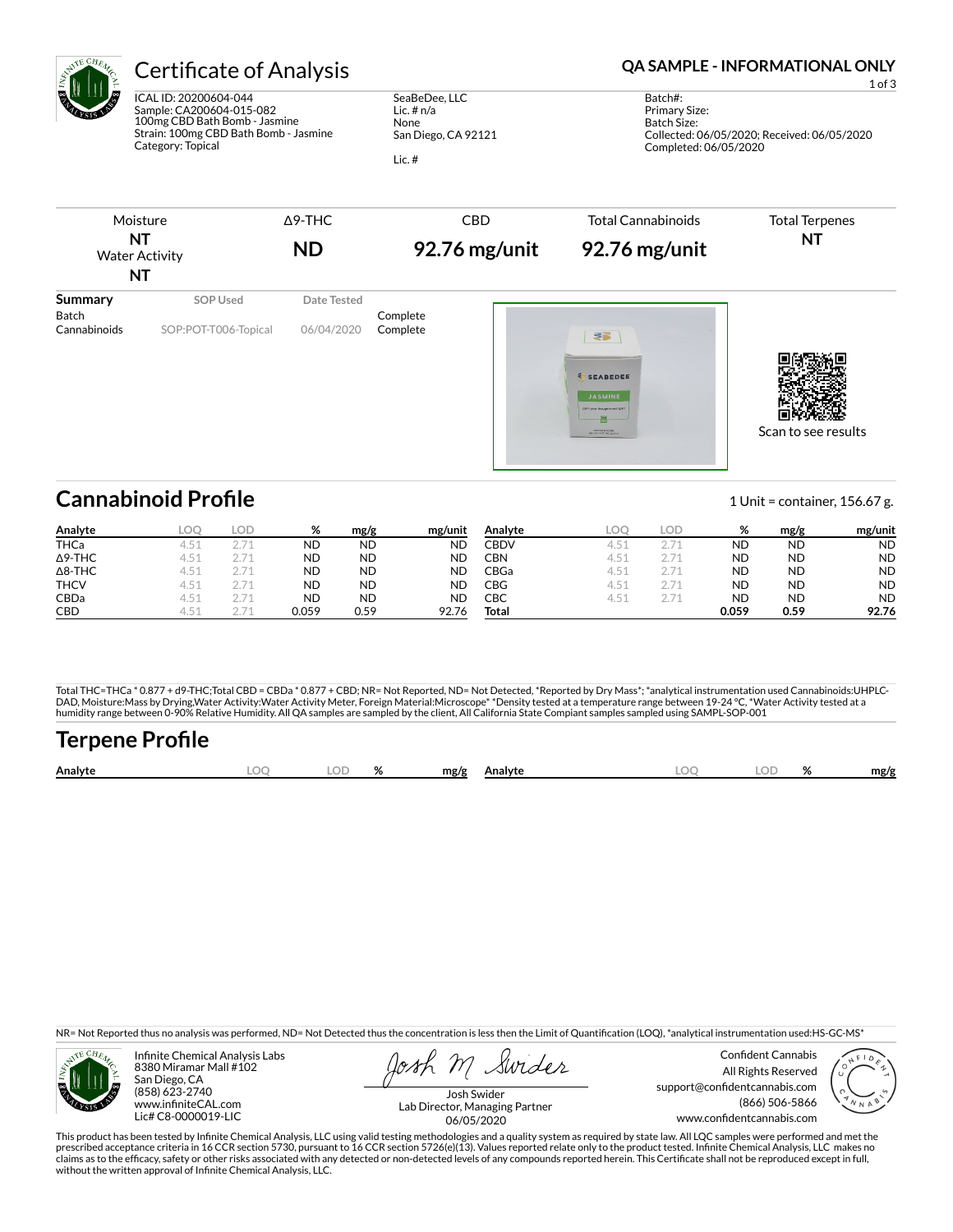

ICAL ID: 20200604-044 Sample: CA200604-015-082 100mg CBD Bath Bomb - Jasmine Strain: 100mg CBD Bath Bomb - Jasmine Category: Topical

SeaBeDee, LLC Lic. # n/a None San Diego, CA 92121

Lic. #

## Certificate of Analysis **Certificate of Analysis QA SAMPLE - INFORMATIONAL ONLY**

1 of 3

Batch#: Primary Size: Batch Size: Collected: 06/05/2020; Received: 06/05/2020 Completed: 06/05/2020



# **Cannabinoid Profile** 1 Unit = container, 156.67 g.

**Analyte LOQ LOD % mg/g mg/unit** THCa 4.51 2.71 ND ND ND Δ9-THC 4.51 2.71 ND ND ND Δ8-THC 4.51 2.71 ND ND ND **THCV** 4.51 2.71 **ND ND ND** CBDa 4.51 2.71 ND ND ND CBD 4.51 2.71 0.059 0.59 92.76 **Analyte LOQ LOD % mg/g mg/unit** CBDV 4.51 2.71 ND ND ND CBN 4.51 2.71 ND ND ND CBGa 4.51 2.71 ND ND ND CBG 4.51 2.71 ND ND ND CBC 4.51 2.71 ND ND ND **Total 0.059 0.59 92.76**

Total THC=THCa \* 0.877 + d9-THC;Total CBD = CBDa \* 0.877 + CBD; NR= Not Reported, ND= Not Detected, \*Reported by Dry Mass\*; \*analytical instrumentation used Cannabinoids:UHPLC-DAD, Moisture:Mass by Drying,Water Activity:Water Activity Meter, Foreign Material:Microscope\* \*Density tested at a temperature range between 19-24 °C, \*Water Activity tested at a<br>humidity range between 0-90% Relative Humi

# Terpene Profile

| Analvte | $\cap$<br>$\sim$ |  | mg/g | Analvte | ገር<br>$-$ | 07 | mg/g |
|---------|------------------|--|------|---------|-----------|----|------|
|         |                  |  |      |         |           |    |      |

NR= Not Reported thus no analysis was performed, ND= Not Detected thus the concentration is less then the Limit of Quantification (LOQ), \*analytical instrumentation used:HS-GC-MS\*



Infinite Chemical Analysis Labs 8380 Miramar Mall #102 San Diego, CA (858) 623-2740 www.infiniteCAL.com Lic# C8-0000019-LIC

Swider

Confident Cannabis All Rights Reserved support@confidentcannabis.com (866) 506-5866 www.confidentcannabis.com



Josh Swider Lab Director, Managing Partner 06/05/2020

This product has been tested by Infinite Chemical Analysis, LLC using valid testing methodologies and a quality system as required by state law. All LQC samples were performed and met the prescribed acceptance criteria in 16 CCR section 5730, pursuant to 16 CCR section 5726(e)(13). Values reported relate only to the product tested. Infinite Chemical Analysis, LLC makes no<br>claims as to the efficacy, safety o without the written approval of Infinite Chemical Analysis, LLC.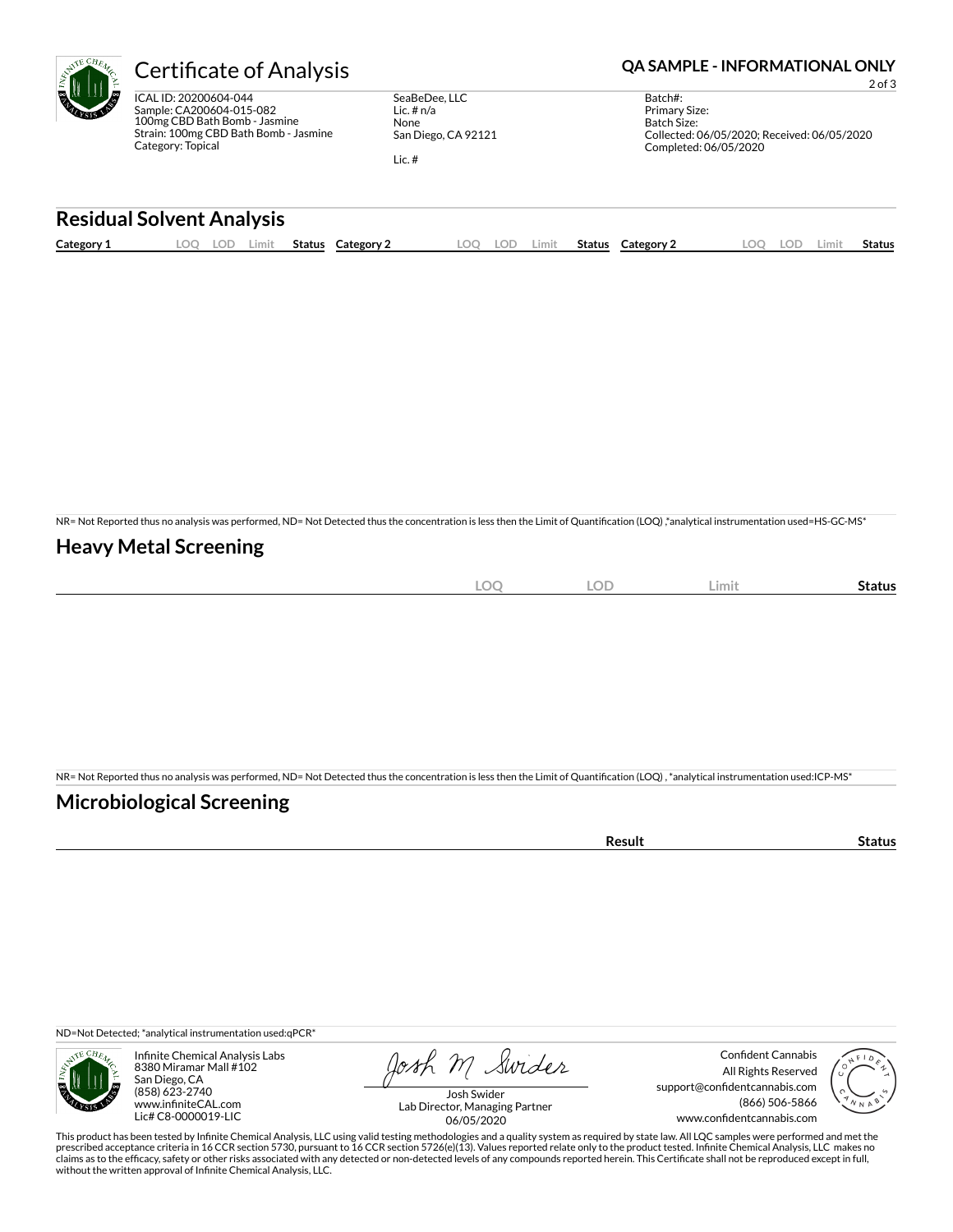ICAL ID: 20200604-044 Sample: CA200604-015-082 100mg CBD Bath Bomb - Jasmine Strain: 100mg CBD Bath Bomb - Jasmine Category: Topical

SeaBeDee, LLC Lic. # n/a None San Diego, CA 92121

Lic. #

### Certificate of Analysis **Certificate of Analysis QA SAMPLE - INFORMATIONAL ONLY**

2 of 3

Batch#: Primary Size: Batch Size: Collected: 06/05/2020; Received: 06/05/2020 Completed: 06/05/2020

#### **Residual Solvent Analysis**

| Category 1 | LOC. | $\sim$<br>LO L' | Limit | <b>Status</b> | Category | LOO | .OF | Limit. | Status | Category 2 | $\Omega$ | LOD. | ∟imit | <b>Status</b> |
|------------|------|-----------------|-------|---------------|----------|-----|-----|--------|--------|------------|----------|------|-------|---------------|
|            |      |                 |       |               |          |     |     |        |        |            |          |      |       |               |

NR= Not Reported thus no analysis was performed, ND= Not Detected thus the concentration is less then the Limit of Quantification (LOQ),\*analytical instrumentation used=HS-GC-MS\*

### **Heavy Metal Screening**

| $\sim$<br>$-$<br>λC<br>$-$<br>$\sim$ | $\cap$<br>$-$<br>$\overline{\phantom{a}}$ | Limit | status |
|--------------------------------------|-------------------------------------------|-------|--------|
|                                      |                                           |       |        |

NR= Not Reported thus no analysis was performed, ND= Not Detected thus the concentration is less then the Limit of Quantification (LOQ), \*analytical instrumentation used:ICP-MS\*

### **Microbiological Screening**

ND=Not Detected; \*analytical instrumentation used:qPCR\*



Infinite Chemical Analysis Labs 8380 Miramar Mall #102 San Diego, CA (858) 623-2740 www.infiniteCAL.com Lic# C8-0000019-LIC

Josh M Swider

Confident Cannabis All Rights Reserved support@confidentcannabis.com (866) 506-5866 www.confidentcannabis.com



Josh Swider Lab Director, Managing Partner 06/05/2020

This product has been tested by Infinite Chemical Analysis, LLC using valid testing methodologies and a quality system as required by state law. All LQC samples were performed and met the prescribed acceptance criteria in 16 CCR section 5730, pursuant to 16 CCR section 5726(e)(13). Values reported relate only to the product tested. Infinite Chemical Analysis, LLC makes no<br>claims as to the efficacy, safety o without the written approval of Infinite Chemical Analysis, LLC.